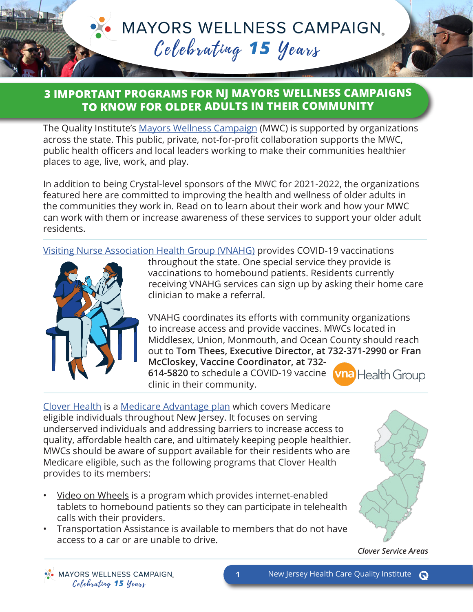**MAYORS WELLNESS CAMPAIGN.** Celebrating 15 years

## **3 IMPORTANT PROGRAMS FOR NJ MAYORS WELLNESS CAMPAIGNS TO KNOW FOR OLDER ADULTS IN THEIR COMMUNITY**

The Quality Institute's [Mayors Wellness Campaign](http://bit.ly/NJHCQIMWC) (MWC) is supported by organizations across the state. This public, private, not-for-profit collaboration supports the MWC, public health officers and local leaders working to make their communities healthier places to age, live, work, and play.

In addition to being Crystal-level sponsors of the MWC for 2021-2022, the organizations featured here are committed to improving the health and wellness of older adults in the communities they work in. Read on to learn about their work and how your MWC can work with them or increase awareness of these services to support your older adult residents.

[Visiting Nurse Association Health Group \(VNAHG\)](https://vnahg.org/) provides COVID-19 vaccinations



throughout the state. One special service they provide is vaccinations to homebound patients. Residents currently receiving VNAHG services can sign up by asking their home care clinician to make a referral.

VNAHG coordinates its efforts with community organizations to increase access and provide vaccines. MWCs located in Middlesex, Union, Monmouth, and Ocean County should reach out to **Tom Thees, Executive Director, at 732-371-2990 or Fran** 

**McCloskey, Vaccine Coordinator, at 732- 614-5820** to schedule a COVID-19 vaccine clinic in their community.



[Clover Health](https://www.cloverhealth.com/en/) is a [Medicare Advantage plan](https://www.medicare.gov/sign-up-change-plans/types-of-medicare-health-plans/medicare-advantage-plans) which covers Medicare eligible individuals throughout New Jersey. It focuses on serving underserved individuals and addressing barriers to increase access to quality, affordable health care, and ultimately keeping people healthier. MWCs should be aware of support available for their residents who are Medicare eligible, such as the following programs that Clover Health provides to its members:

- Video on Wheels is a program which provides internet-enabled tablets to homebound patients so they can participate in telehealth calls with their providers.
- Transportation Assistance is available to members that do not have access to a car or are unable to drive.



*Clover Service Areas*